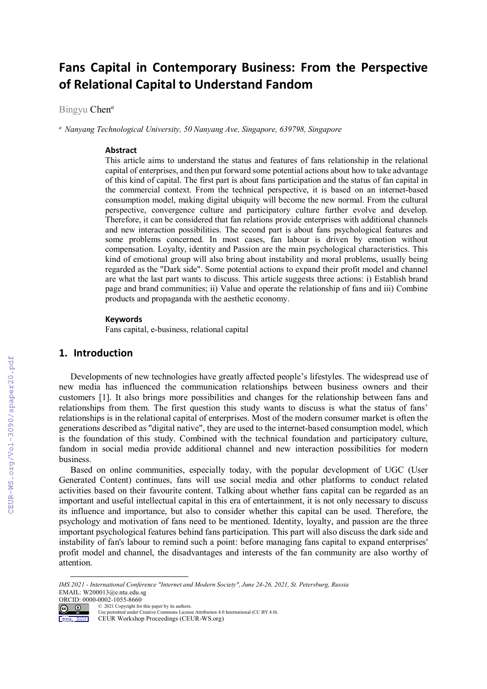# **Fans Capital in Contemporary Business: From the Perspective of Relational Capital to Understand Fandom**

Bingyu Chen*<sup>a</sup>*

*<sup>a</sup> Nanyang Technological University, 50 Nanyang Ave, Singapore, 639798, Singapore* 

#### **Abstract**

This article aims to understand the status and features of fans relationship in the relational capital of enterprises, and then put forward some potential actions about how to take advantage of this kind of capital. The first part is about fans participation and the status of fan capital in the commercial context. From the technical perspective, it is based on an internet-based consumption model, making digital ubiquity will become the new normal. From the cultural perspective, convergence culture and participatory culture further evolve and develop. Therefore, it can be considered that fan relations provide enterprises with additional channels and new interaction possibilities. The second part is about fans psychological features and some problems concerned. In most cases, fan labour is driven by emotion without compensation. Loyalty, identity and Passion are the main psychological characteristics. This kind of emotional group will also bring about instability and moral problems, usually being regarded as the "Dark side". Some potential actions to expand their profit model and channel are what the last part wants to discuss. This article suggests three actions: i) Establish brand page and brand communities; ii) Value and operate the relationship of fans and iii) Combine products and propaganda with the aesthetic economy.

#### **Keywords**

Fans capital, e-business, relational capital

## **1. Introduction**

Developments of new technologies have greatly affected people's lifestyles. The widespread use of new media has influenced the communication relationships between business owners and their customers [1]. It also brings more possibilities and changes for the relationship between fans and relationships from them. The first question this study wants to discuss is what the status of fans' relationships is in the relational capital of enterprises. Most of the modern consumer market is often the generations described as "digital native", they are used to the internet-based consumption model, which is the foundation of this study. Combined with the technical foundation and participatory culture, fandom in social media provide additional channel and new interaction possibilities for modern business.

Based on online communities, especially today, with the popular development of UGC (User Generated Content) continues, fans will use social media and other platforms to conduct related activities based on their favourite content. Talking about whether fans capital can be regarded as an important and useful intellectual capital in this era of entertainment, it is not only necessary to discuss its influence and importance, but also to consider whether this capital can be used. Therefore, the psychology and motivation of fans need to be mentioned. Identity, loyalty, and passion are the three important psychological features behind fans participation. This part will also discuss the dark side and instability of fan's labour to remind such a point: before managing fans capital to expand enterprises' profit model and channel, the disadvantages and interests of the fan community are also worthy of attention.

*IMS 2021 - International Conference "Internet and Modern Society", June 24-26, 2021, St. Petersburg, Russia* EMAIL: W200013@e.ntu.edu.sg



© 2021 Copyright for this paper by its authors. Use permitted under Creative Commons License Attribution 4.0 International (CC BY 4.0).

CEUR Workshop Proceedings (CEUR-WS.org)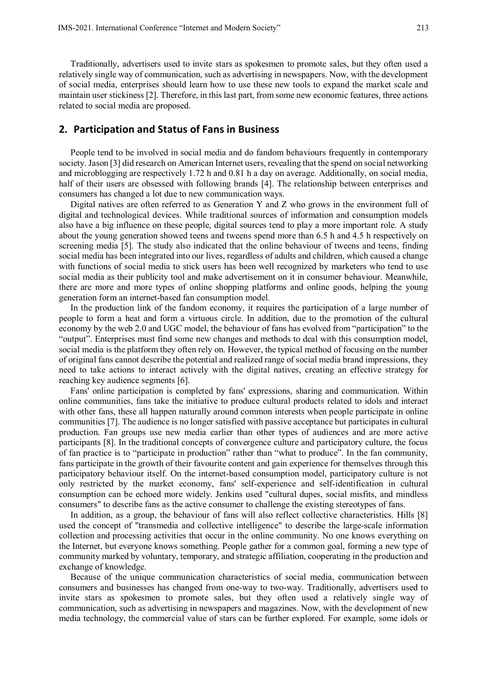Traditionally, advertisers used to invite stars as spokesmen to promote sales, but they often used a relatively single way of communication, such as advertising in newspapers. Now, with the development of social media, enterprises should learn how to use these new tools to expand the market scale and maintain user stickiness [2]. Therefore, in this last part, from some new economic features, three actions related to social media are proposed.

## **2. Participation and Status of Fans in Business**

People tend to be involved in social media and do fandom behaviours frequently in contemporary society. Jason [3] did research on American Internet users, revealing that the spend on social networking and microblogging are respectively 1.72 h and 0.81 h a day on average. Additionally, on social media, half of their users are obsessed with following brands [4]. The relationship between enterprises and consumers has changed a lot due to new communication ways.

Digital natives are often referred to as Generation Y and Z who grows in the environment full of digital and technological devices. While traditional sources of information and consumption models also have a big influence on these people, digital sources tend to play a more important role. A study about the young generation showed teens and tweens spend more than 6.5 h and 4.5 h respectively on screening media [5]. The study also indicated that the online behaviour of tweens and teens, finding social media has been integrated into our lives, regardless of adults and children, which caused a change with functions of social media to stick users has been well recognized by marketers who tend to use social media as their publicity tool and make advertisement on it in consumer behaviour. Meanwhile, there are more and more types of online shopping platforms and online goods, helping the young generation form an internet-based fan consumption model.

In the production link of the fandom economy, it requires the participation of a large number of people to form a heat and form a virtuous circle. In addition, due to the promotion of the cultural economy by the web 2.0 and UGC model, the behaviour of fans has evolved from "participation" to the "output". Enterprises must find some new changes and methods to deal with this consumption model, social media is the platform they often rely on. However, the typical method of focusing on the number of original fans cannot describe the potential and realized range of social media brand impressions, they need to take actions to interact actively with the digital natives, creating an effective strategy for reaching key audience segments [6].

Fans' online participation is completed by fans' expressions, sharing and communication. Within online communities, fans take the initiative to produce cultural products related to idols and interact with other fans, these all happen naturally around common interests when people participate in online communities [7]. The audience is no longer satisfied with passive acceptance but participates in cultural production. Fan groups use new media earlier than other types of audiences and are more active participants [8]. In the traditional concepts of convergence culture and participatory culture, the focus of fan practice is to "participate in production" rather than "what to produce". In the fan community, fans participate in the growth of their favourite content and gain experience for themselves through this participatory behaviour itself. On the internet-based consumption model, participatory culture is not only restricted by the market economy, fans' self-experience and self-identification in cultural consumption can be echoed more widely. Jenkins used "cultural dupes, social misfits, and mindless consumers" to describe fans as the active consumer to challenge the existing stereotypes of fans.

In addition, as a group, the behaviour of fans will also reflect collective characteristics. Hills [8] used the concept of "transmedia and collective intelligence" to describe the large-scale information collection and processing activities that occur in the online community. No one knows everything on the Internet, but everyone knows something. People gather for a common goal, forming a new type of community marked by voluntary, temporary, and strategic affiliation, cooperating in the production and exchange of knowledge.

Because of the unique communication characteristics of social media, communication between consumers and businesses has changed from one-way to two-way. Traditionally, advertisers used to invite stars as spokesmen to promote sales, but they often used a relatively single way of communication, such as advertising in newspapers and magazines. Now, with the development of new media technology, the commercial value of stars can be further explored. For example, some idols or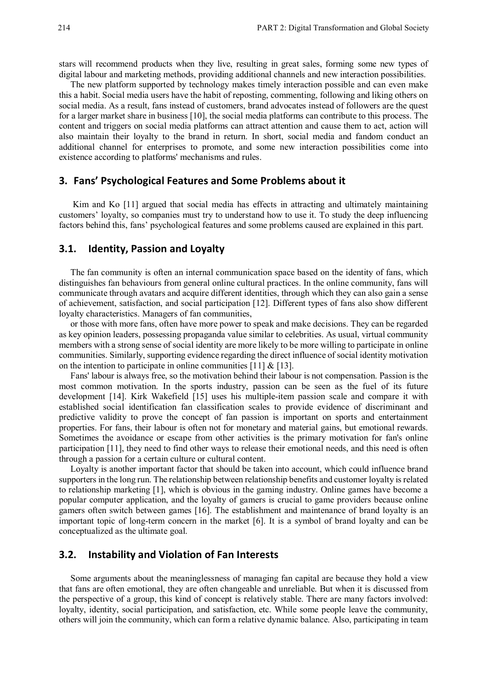stars will recommend products when they live, resulting in great sales, forming some new types of digital labour and marketing methods, providing additional channels and new interaction possibilities.

The new platform supported by technology makes timely interaction possible and can even make this a habit. Social media users have the habit of reposting, commenting, following and liking others on social media. As a result, fans instead of customers, brand advocates instead of followers are the quest for a larger market share in business [10], the social media platforms can contribute to this process. The content and triggers on social media platforms can attract attention and cause them to act, action will also maintain their loyalty to the brand in return. In short, social media and fandom conduct an additional channel for enterprises to promote, and some new interaction possibilities come into existence according to platforms' mechanisms and rules.

## **3. Fans' Psychological Features and Some Problems about it**

 Kim and Ko [11] argued that social media has effects in attracting and ultimately maintaining customers' loyalty, so companies must try to understand how to use it. To study the deep influencing factors behind this, fans' psychological features and some problems caused are explained in this part.

# **3.1. Identity, Passion and Loyalty**

The fan community is often an internal communication space based on the identity of fans, which distinguishes fan behaviours from general online cultural practices. In the online community, fans will communicate through avatars and acquire different identities, through which they can also gain a sense of achievement, satisfaction, and social participation [12]. Different types of fans also show different loyalty characteristics. Managers of fan communities,

or those with more fans, often have more power to speak and make decisions. They can be regarded as key opinion leaders, possessing propaganda value similar to celebrities. As usual, virtual community members with a strong sense of social identity are more likely to be more willing to participate in online communities. Similarly, supporting evidence regarding the direct influence of social identity motivation on the intention to participate in online communities  $[11] & [13]$ .

Fans' labour is always free, so the motivation behind their labour is not compensation. Passion is the most common motivation. In the sports industry, passion can be seen as the fuel of its future development [14]. Kirk Wakefield [15] uses his multiple-item passion scale and compare it with established social identification fan classification scales to provide evidence of discriminant and predictive validity to prove the concept of fan passion is important on sports and entertainment properties. For fans, their labour is often not for monetary and material gains, but emotional rewards. Sometimes the avoidance or escape from other activities is the primary motivation for fan's online participation [11], they need to find other ways to release their emotional needs, and this need is often through a passion for a certain culture or cultural content.

Loyalty is another important factor that should be taken into account, which could influence brand supporters in the long run. The relationship between relationship benefits and customer loyalty is related to relationship marketing [1], which is obvious in the gaming industry. Online games have become a popular computer application, and the loyalty of gamers is crucial to game providers because online gamers often switch between games [16]. The establishment and maintenance of brand loyalty is an important topic of long-term concern in the market [6]. It is a symbol of brand loyalty and can be conceptualized as the ultimate goal.

## **3.2. Instability and Violation of Fan Interests**

Some arguments about the meaninglessness of managing fan capital are because they hold a view that fans are often emotional, they are often changeable and unreliable. But when it is discussed from the perspective of a group, this kind of concept is relatively stable. There are many factors involved: loyalty, identity, social participation, and satisfaction, etc. While some people leave the community, others will join the community, which can form a relative dynamic balance. Also, participating in team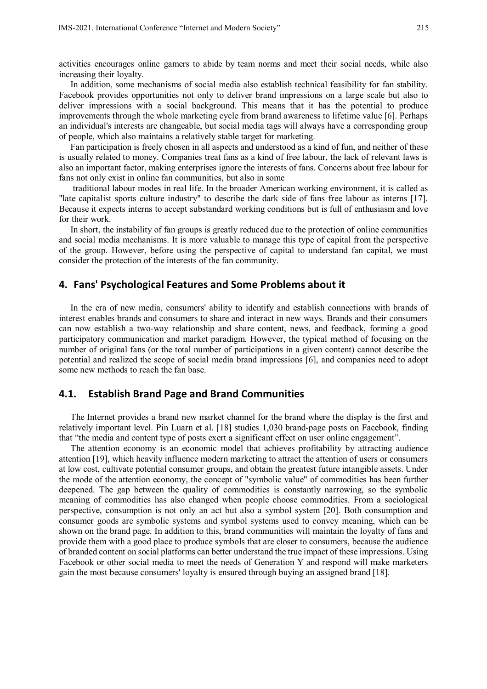activities encourages online gamers to abide by team norms and meet their social needs, while also increasing their loyalty.

In addition, some mechanisms of social media also establish technical feasibility for fan stability. Facebook provides opportunities not only to deliver brand impressions on a large scale but also to deliver impressions with a social background. This means that it has the potential to produce improvements through the whole marketing cycle from brand awareness to lifetime value [6]. Perhaps an individual's interests are changeable, but social media tags will always have a corresponding group of people, which also maintains a relatively stable target for marketing.

Fan participation is freely chosen in all aspects and understood as a kind of fun, and neither of these is usually related to money. Companies treat fans as a kind of free labour, the lack of relevant laws is also an important factor, making enterprises ignore the interests of fans. Concerns about free labour for fans not only exist in online fan communities, but also in some

 traditional labour modes in real life. In the broader American working environment, it is called as "late capitalist sports culture industry" to describe the dark side of fans free labour as interns [17]. Because it expects interns to accept substandard working conditions but is full of enthusiasm and love for their work.

In short, the instability of fan groups is greatly reduced due to the protection of online communities and social media mechanisms. It is more valuable to manage this type of capital from the perspective of the group. However, before using the perspective of capital to understand fan capital, we must consider the protection of the interests of the fan community.

#### **4. Fans' Psychological Features and Some Problems about it**

In the era of new media, consumers' ability to identify and establish connections with brands of interest enables brands and consumers to share and interact in new ways. Brands and their consumers can now establish a two-way relationship and share content, news, and feedback, forming a good participatory communication and market paradigm. However, the typical method of focusing on the number of original fans (or the total number of participations in a given content) cannot describe the potential and realized the scope of social media brand impressions [6], and companies need to adopt some new methods to reach the fan base.

## **4.1. Establish Brand Page and Brand Communities**

The Internet provides a brand new market channel for the brand where the display is the first and relatively important level. Pin Luarn et al. [18] studies 1,030 brand-page posts on Facebook, finding that "the media and content type of posts exert a significant effect on user online engagement".

The attention economy is an economic model that achieves profitability by attracting audience attention [19], which heavily influence modern marketing to attract the attention of users or consumers at low cost, cultivate potential consumer groups, and obtain the greatest future intangible assets. Under the mode of the attention economy, the concept of "symbolic value" of commodities has been further deepened. The gap between the quality of commodities is constantly narrowing, so the symbolic meaning of commodities has also changed when people choose commodities. From a sociological perspective, consumption is not only an act but also a symbol system [20]. Both consumption and consumer goods are symbolic systems and symbol systems used to convey meaning, which can be shown on the brand page. In addition to this, brand communities will maintain the loyalty of fans and provide them with a good place to produce symbols that are closer to consumers, because the audience of branded content on social platforms can better understand the true impact of these impressions. Using Facebook or other social media to meet the needs of Generation Y and respond will make marketers gain the most because consumers' loyalty is ensured through buying an assigned brand [18].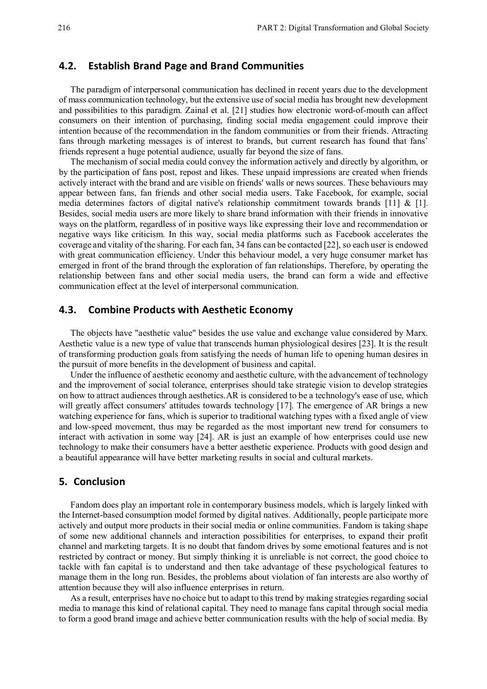#### **4.2. Establish Brand Page and Brand Communities**

The paradigm of interpersonal communication has declined in recent years due to the development of mass communication technology, but the extensive use of social media has brought new development and possibilities to this paradigm. Zainal et al. [21] studies how electronic word-of-mouth can affect consumers on their intention of purchasing, finding social media engagement could improve their intention because of the recommendation in the fandom communities or from their friends. Attracting fans through marketing messages is of interest to brands, but current research has found that fans' friends represent a huge potential audience, usually far beyond the size of fans.

The mechanism of social media could convey the information actively and directly by algorithm, or by the participation of fans post, repost and likes. These unpaid impressions are created when friends actively interact with the brand and are visible on friends' walls or news sources. These behaviours may appear between fans, fan friends and other social media users. Take Facebook, for example, social media determines factors of digital native's relationship commitment towards brands [11] & [1]. Besides, social media users are more likely to share brand information with their friends in innovative ways on the platform, regardless of in positive ways like expressing their love and recommendation or negative ways like criticism. In this way, social media platforms such as Facebook accelerates the coverage and vitality of the sharing. For each fan, 34 fans can be contacted [22], so each user is endowed with great communication efficiency. Under this behaviour model, a very huge consumer market has emerged in front of the brand through the exploration of fan relationships. Therefore, by operating the relationship between fans and other social media users, the brand can form a wide and effective communication effect at the level of interpersonal communication.

## **4.3. Combine Products with Aesthetic Economy**

The objects have "aesthetic value" besides the use value and exchange value considered by Marx. Aesthetic value is a new type of value that transcends human physiological desires [23]. It is the result of transforming production goals from satisfying the needs of human life to opening human desires in the pursuit of more benefits in the development of business and capital.

Under the influence of aesthetic economy and aesthetic culture, with the advancement of technology and the improvement of social tolerance, enterprises should take strategic vision to develop strategies on how to attract audiences through aesthetics.AR is considered to be a technology's ease of use, which will greatly affect consumers' attitudes towards technology [17]. The emergence of AR brings a new watching experience for fans, which is superior to traditional watching types with a fixed angle of view and low-speed movement, thus may be regarded as the most important new trend for consumers to interact with activation in some way [24]. AR is just an example of how enterprises could use new technology to make their consumers have a better aesthetic experience. Products with good design and a beautiful appearance will have better marketing results in social and cultural markets.

## **5. Conclusion**

Fandom does play an important role in contemporary business models, which is largely linked with the Internet-based consumption model formed by digital natives. Additionally, people participate more actively and output more products in their social media or online communities. Fandom is taking shape of some new additional channels and interaction possibilities for enterprises, to expand their profit channel and marketing targets. It is no doubt that fandom drives by some emotional features and is not restricted by contract or money. But simply thinking it is unreliable is not correct, the good choice to tackle with fan capital is to understand and then take advantage of these psychological features to manage them in the long run. Besides, the problems about violation of fan interests are also worthy of attention because they will also influence enterprises in return.

As a result, enterprises have no choice but to adapt to this trend by making strategies regarding social media to manage this kind of relational capital. They need to manage fans capital through social media to form a good brand image and achieve better communication results with the help of social media. By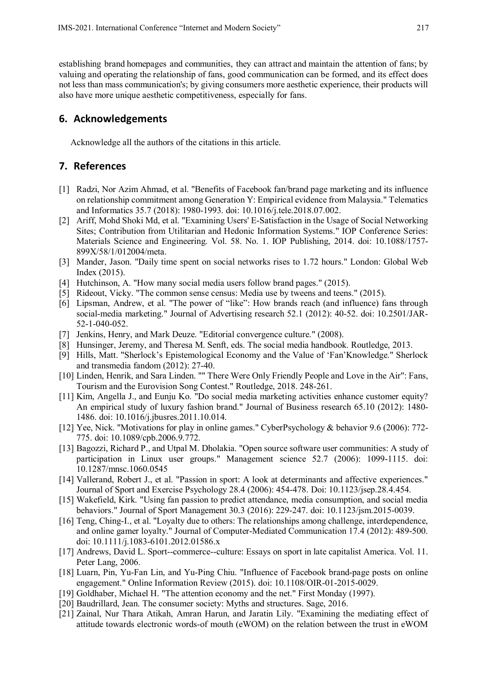establishing brand homepages and communities, they can attract and maintain the attention of fans; by valuing and operating the relationship of fans, good communication can be formed, and its effect does not less than mass communication's; by giving consumers more aesthetic experience, their products will also have more unique aesthetic competitiveness, especially for fans.

# **6. Acknowledgements**

Acknowledge all the authors of the citations in this article.

# **7. References**

- [1] Radzi, Nor Azim Ahmad, et al. "Benefits of Facebook fan/brand page marketing and its influence on relationship commitment among Generation Y: Empirical evidence from Malaysia." Telematics and Informatics 35.7 (2018): 1980-1993. doi: 10.1016/j.tele.2018.07.002.
- [2] Ariff, Mohd Shoki Md, et al. "Examining Users' E-Satisfaction in the Usage of Social Networking Sites; Contribution from Utilitarian and Hedonic Information Systems." IOP Conference Series: Materials Science and Engineering. Vol. 58. No. 1. IOP Publishing, 2014. doi: 10.1088/1757- 899X/58/1/012004/meta.
- [3] Mander, Jason. "Daily time spent on social networks rises to 1.72 hours." London: Global Web Index (2015).
- [4] Hutchinson, A. "How many social media users follow brand pages." (2015).
- [5] Rideout, Vicky. "The common sense census: Media use by tweens and teens." (2015).
- [6] Lipsman, Andrew, et al. "The power of "like": How brands reach (and influence) fans through social-media marketing." Journal of Advertising research 52.1 (2012): 40-52. doi: 10.2501/JAR-52-1-040-052.
- [7] Jenkins, Henry, and Mark Deuze. "Editorial convergence culture." (2008).
- [8] Hunsinger, Jeremy, and Theresa M. Senft, eds. The social media handbook. Routledge, 2013.
- [9] Hills, Matt. "Sherlock's Epistemological Economy and the Value of 'Fan'Knowledge." Sherlock and transmedia fandom (2012): 27-40.
- [10] Linden, Henrik, and Sara Linden. "" There Were Only Friendly People and Love in the Air": Fans, Tourism and the Eurovision Song Contest." Routledge, 2018. 248-261.
- [11] Kim, Angella J., and Eunju Ko. "Do social media marketing activities enhance customer equity? An empirical study of luxury fashion brand." Journal of Business research 65.10 (2012): 1480- 1486. doi: 10.1016/j.jbusres.2011.10.014.
- [12] Yee, Nick. "Motivations for play in online games." CyberPsychology & behavior 9.6 (2006): 772- 775. doi: 10.1089/cpb.2006.9.772.
- [13] Bagozzi, Richard P., and Utpal M. Dholakia. "Open source software user communities: A study of participation in Linux user groups." Management science 52.7 (2006): 1099-1115. doi: 10.1287/mnsc.1060.0545
- [14] Vallerand, Robert J., et al. "Passion in sport: A look at determinants and affective experiences." Journal of Sport and Exercise Psychology 28.4 (2006): 454-478. Doi: 10.1123/jsep.28.4.454.
- [15] Wakefield, Kirk. "Using fan passion to predict attendance, media consumption, and social media behaviors." Journal of Sport Management 30.3 (2016): 229-247. doi: 10.1123/jsm.2015-0039.
- [16] Teng, Ching-I., et al. "Loyalty due to others: The relationships among challenge, interdependence, and online gamer loyalty." Journal of Computer-Mediated Communication 17.4 (2012): 489-500. doi: 10.1111/j.1083-6101.2012.01586.x
- [17] Andrews, David L. Sport--commerce--culture: Essays on sport in late capitalist America. Vol. 11. Peter Lang, 2006.
- [18] Luarn, Pin, Yu-Fan Lin, and Yu-Ping Chiu. "Influence of Facebook brand-page posts on online engagement." Online Information Review (2015). doi: 10.1108/OIR-01-2015-0029.
- [19] Goldhaber, Michael H. "The attention economy and the net." First Monday (1997).
- [20] Baudrillard, Jean. The consumer society: Myths and structures. Sage, 2016.
- [21] Zainal, Nur Thara Atikah, Amran Harun, and Jaratin Lily. "Examining the mediating effect of attitude towards electronic words-of mouth (eWOM) on the relation between the trust in eWOM